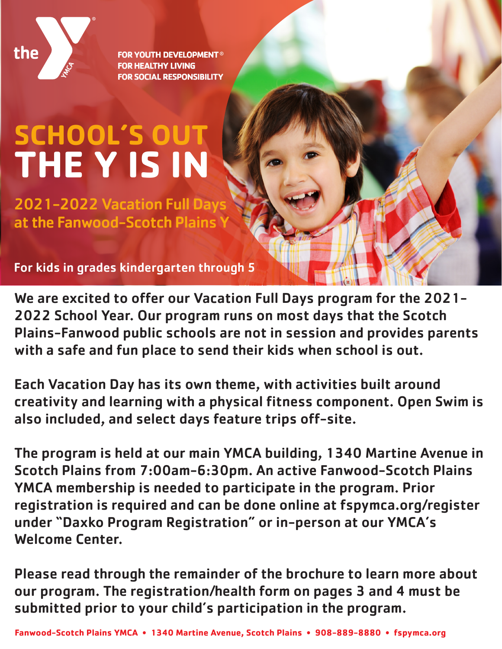

**FOR YOUTH DEVELOPMENT® FOR HEALTHY LIVING FOR SOCIAL RESPONSIBILITY** 

# **SCHOOL'S OUT THE Y IS IN**

2021-2022 Vacation Full Days at the Fanwood-Scotch Plains

For kids in grades kindergarten through 5

We are excited to offer our Vacation Full Days program for the 2021- 2022 School Year. Our program runs on most days that the Scotch Plains-Fanwood public schools are not in session and provides parents with a safe and fun place to send their kids when school is out.

Each Vacation Day has its own theme, with activities built around creativity and learning with a physical fitness component. Open Swim is also included, and select days feature trips off-site.

The program is held at our main YMCA building, 1340 Martine Avenue in Scotch Plains from 7:00am-6:30pm. An active Fanwood-Scotch Plains YMCA membership is needed to participate in the program. Prior registration is required and can be done online at fspymca.org/register under "Daxko Program Registration" or in-person at our YMCA's Welcome Center.

Please read through the remainder of the brochure to learn more about our program. The registration/health form on pages 3 and 4 must be submitted prior to your child's participation in the program.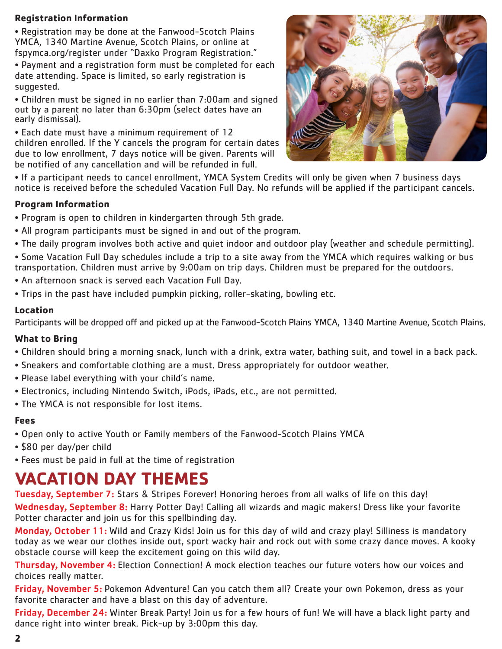# **Registration Information**

• Registration may be done at the Fanwood-Scotch Plains YMCA, 1340 Martine Avenue, Scotch Plains, or online at fspymca.org/register under "Daxko Program Registration."

• Payment and a registration form must be completed for each date attending. Space is limited, so early registration is suggested.

• Children must be signed in no earlier than 7:00am and signed out by a parent no later than 6:30pm (select dates have an early dismissal).

• Each date must have a minimum requirement of 12 children enrolled. If the Y cancels the program for certain dates due to low enrollment, 7 days notice will be given. Parents will be notified of any cancellation and will be refunded in full.



• If a participant needs to cancel enrollment, YMCA System Credits will only be given when 7 business days notice is received before the scheduled Vacation Full Day. No refunds will be applied if the participant cancels.

# **Program Information**

- Program is open to children in kindergarten through 5th grade.
- All program participants must be signed in and out of the program.
- The daily program involves both active and quiet indoor and outdoor play (weather and schedule permitting).
- Some Vacation Full Day schedules include a trip to a site away from the YMCA which requires walking or bus transportation. Children must arrive by 9:00am on trip days. Children must be prepared for the outdoors.
- An afternoon snack is served each Vacation Full Day.
- Trips in the past have included pumpkin picking, roller-skating, bowling etc.

## **Location**

Participants will be dropped off and picked up at the Fanwood-Scotch Plains YMCA, 1340 Martine Avenue, Scotch Plains.

# **What to Bring**

- Children should bring a morning snack, lunch with a drink, extra water, bathing suit, and towel in a back pack.
- Sneakers and comfortable clothing are a must. Dress appropriately for outdoor weather.
- Please label everything with your child's name.
- Electronics, including Nintendo Switch, iPods, iPads, etc., are not permitted.
- The YMCA is not responsible for lost items.

## **Fees**

- Open only to active Youth or Family members of the Fanwood-Scotch Plains YMCA
- \$80 per day/per child
- Fees must be paid in full at the time of registration

# **VACATION DAY THEMES**

Tuesday, September 7: Stars & Stripes Forever! Honoring heroes from all walks of life on this day! Wednesday, September 8: Harry Potter Day! Calling all wizards and magic makers! Dress like your favorite Potter character and join us for this spellbinding day.

Monday, October 11: Wild and Crazy Kids! Join us for this day of wild and crazy play! Silliness is mandatory today as we wear our clothes inside out, sport wacky hair and rock out with some crazy dance moves. A kooky obstacle course will keep the excitement going on this wild day.

Thursday, November 4: Election Connection! A mock election teaches our future voters how our voices and choices really matter.

Friday, November 5: Pokemon Adventure! Can you catch them all? Create your own Pokemon, dress as your favorite character and have a blast on this day of adventure.

Friday, December 24: Winter Break Party! Join us for a few hours of fun! We will have a black light party and dance right into winter break. Pick-up by 3:00pm this day.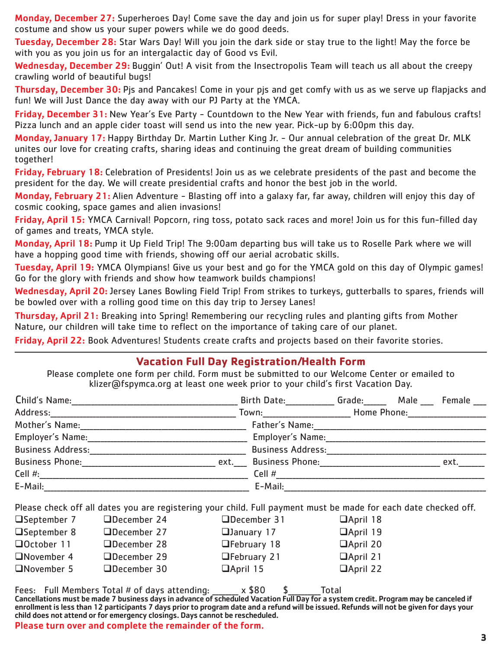Monday, December 27: Superheroes Day! Come save the day and join us for super play! Dress in your favorite costume and show us your super powers while we do good deeds.

Tuesday, December 28: Star Wars Day! Will you join the dark side or stay true to the light! May the force be with you as you join us for an intergalactic day of Good vs Evil.

Wednesday, December 29: Buggin' Out! A visit from the Insectropolis Team will teach us all about the creepy crawling world of beautiful bugs!

Thursday, December 30: Pis and Pancakes! Come in your pis and get comfy with us as we serve up flapjacks and fun! We will Just Dance the day away with our PJ Party at the YMCA.

Friday, December 31: New Year's Eve Party - Countdown to the New Year with friends, fun and fabulous crafts! Pizza lunch and an apple cider toast will send us into the new year. Pick-up by 6:00pm this day.

Monday, January 17: Happy Birthday Dr. Martin Luther King Jr. - Our annual celebration of the great Dr. MLK unites our love for creating crafts, sharing ideas and continuing the great dream of building communities together!

Friday, February 18: Celebration of Presidents! Join us as we celebrate presidents of the past and become the president for the day. We will create presidential crafts and honor the best job in the world.

Monday, February 21: Alien Adventure - Blasting off into a galaxy far, far away, children will enjoy this day of cosmic cooking, space games and alien invasions!

Friday, April 15: YMCA Carnival! Popcorn, ring toss, potato sack races and more! Join us for this fun-filled day of games and treats, YMCA style.

Monday, April 18: Pump it Up Field Trip! The 9:00am departing bus will take us to Roselle Park where we will have a hopping good time with friends, showing off our aerial acrobatic skills.

Tuesday, April 19: YMCA Olympians! Give us your best and go for the YMCA gold on this day of Olympic games! Go for the glory with friends and show how teamwork builds champions!

Wednesday, April 20: Jersey Lanes Bowling Field Trip! From strikes to turkeys, gutterballs to spares, friends will be bowled over with a rolling good time on this day trip to Jersey Lanes!

Thursday, April 21: Breaking into Spring! Remembering our recycling rules and planting gifts from Mother Nature, our children will take time to reflect on the importance of taking care of our planet.

Friday, April 22: Book Adventures! Students create crafts and projects based on their favorite stories.

# **Vacation Full Day Registration/Health Form**

Please complete one form per child. Form must be submitted to our Welcome Center or emailed to klizer@fspymca.org at least one week prior to your child's first Vacation Day.

| Child's Name:                  | <b>Birth Date:</b>       | Grade: <b>Carry Communist Communist Communist Communist Communist Communist Communist Communist Communist Communist C</b> | Male | Female |
|--------------------------------|--------------------------|---------------------------------------------------------------------------------------------------------------------------|------|--------|
| Address:                       | Town:                    | Home Phone:                                                                                                               |      |        |
| Mother's Name:                 | Father's Name:           |                                                                                                                           |      |        |
| Employer's Name:               | Employer's Name:         |                                                                                                                           |      |        |
| <b>Business Address:</b>       | <b>Business Address:</b> |                                                                                                                           |      |        |
| <b>Business Phone:</b><br>ext. | <b>Business Phone:</b>   |                                                                                                                           |      | ext.   |
| Cell $#$ :                     | Cell #                   |                                                                                                                           |      |        |
| E-Mail:                        | E-Mail:                  |                                                                                                                           |      |        |

Please check off all dates you are registering your child. Full payment must be made for each date checked off.

| □September 7      | $\Box$ December 24 | □December 31       | $\Box$ April 18 |
|-------------------|--------------------|--------------------|-----------------|
| □September 8      | □December 27       | $\Box$ January 17  | □April 19       |
| $\Box$ October 11 | □December 28       | $\Box$ February 18 | April 20        |
| $\Box$ November 4 | □December 29       | $\Box$ February 21 | □April 21       |
| November 5        | $\Box$ December 30 | $\Box$ April 15    | □April 22       |

Fees: Full Members Total # of days attending: \_\_\_\_\_\_ x \$80 \$ \_\_\_\_\_\_ Total

Cancellations must be made 7 business days in advance of scheduled Vacation Full Day for a system credit. Program may be canceled if enrollment is less than 12 participants 7 days prior to program date and a refund will be issued. Refunds will not be given for days your child does not attend or for emergency closings. Days cannot be rescheduled.

Please turn over and complete the remainder of the form.